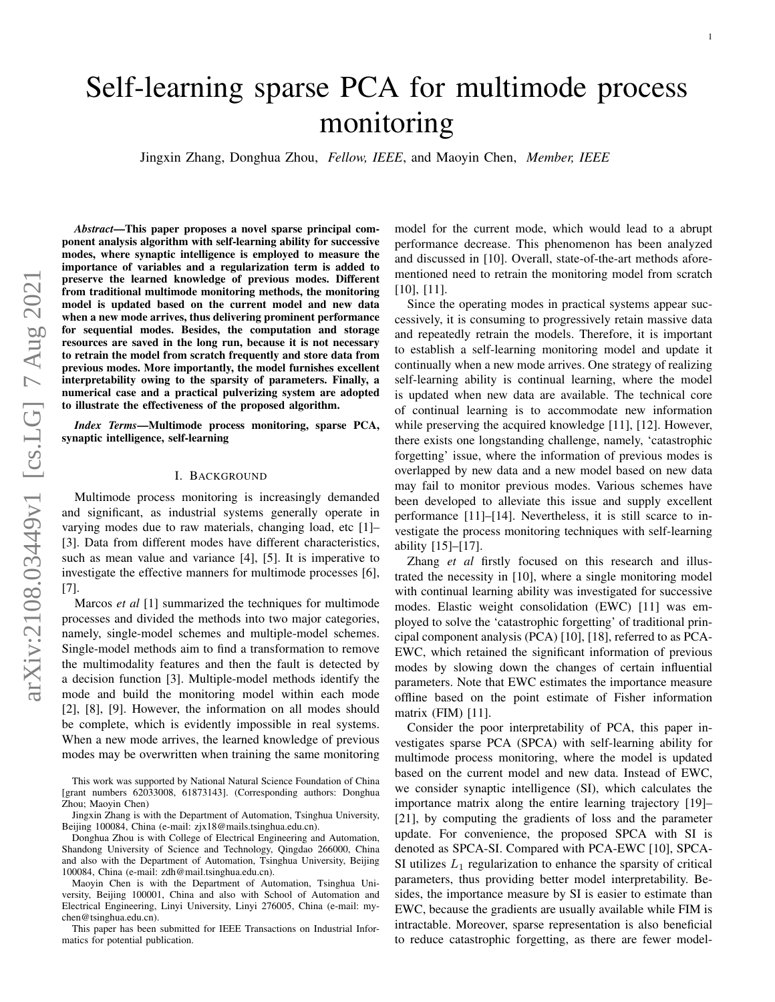# Self-learning sparse PCA for multimode process monitoring

Jingxin Zhang, Donghua Zhou, *Fellow, IEEE*, and Maoyin Chen, *Member, IEEE*

*Abstract*—This paper proposes a novel sparse principal component analysis algorithm with self-learning ability for successive modes, where synaptic intelligence is employed to measure the importance of variables and a regularization term is added to preserve the learned knowledge of previous modes. Different from traditional multimode monitoring methods, the monitoring model is updated based on the current model and new data when a new mode arrives, thus delivering prominent performance for sequential modes. Besides, the computation and storage resources are saved in the long run, because it is not necessary to retrain the model from scratch frequently and store data from previous modes. More importantly, the model furnishes excellent interpretability owing to the sparsity of parameters. Finally, a numerical case and a practical pulverizing system are adopted to illustrate the effectiveness of the proposed algorithm.

*Index Terms*—Multimode process monitoring, sparse PCA, synaptic intelligence, self-learning

## I. BACKGROUND

Multimode process monitoring is increasingly demanded and significant, as industrial systems generally operate in varying modes due to raw materials, changing load, etc [1]– [3]. Data from different modes have different characteristics, such as mean value and variance [4], [5]. It is imperative to investigate the effective manners for multimode processes [6], [7].

Marcos *et al* [1] summarized the techniques for multimode processes and divided the methods into two major categories, namely, single-model schemes and multiple-model schemes. Single-model methods aim to find a transformation to remove the multimodality features and then the fault is detected by a decision function [3]. Multiple-model methods identify the mode and build the monitoring model within each mode [2], [8], [9]. However, the information on all modes should be complete, which is evidently impossible in real systems. When a new mode arrives, the learned knowledge of previous modes may be overwritten when training the same monitoring

This work was supported by National Natural Science Foundation of China [grant numbers 62033008, 61873143]. (Corresponding authors: Donghua Zhou; Maoyin Chen)

Jingxin Zhang is with the Department of Automation, Tsinghua University, Beijing 100084, China (e-mail: zjx18@mails.tsinghua.edu.cn).

Donghua Zhou is with College of Electrical Engineering and Automation, Shandong University of Science and Technology, Qingdao 266000, China and also with the Department of Automation, Tsinghua University, Beijing 100084, China (e-mail: zdh@mail.tsinghua.edu.cn).

Maoyin Chen is with the Department of Automation, Tsinghua University, Beijing 100001, China and also with School of Automation and Electrical Engineering, Linyi University, Linyi 276005, China (e-mail: mychen@tsinghua.edu.cn).

This paper has been submitted for IEEE Transactions on Industrial Informatics for potential publication.

model for the current mode, which would lead to a abrupt performance decrease. This phenomenon has been analyzed and discussed in [10]. Overall, state-of-the-art methods aforementioned need to retrain the monitoring model from scratch [10], [11].

Since the operating modes in practical systems appear successively, it is consuming to progressively retain massive data and repeatedly retrain the models. Therefore, it is important to establish a self-learning monitoring model and update it continually when a new mode arrives. One strategy of realizing self-learning ability is continual learning, where the model is updated when new data are available. The technical core of continual learning is to accommodate new information while preserving the acquired knowledge [11], [12]. However, there exists one longstanding challenge, namely, 'catastrophic forgetting' issue, where the information of previous modes is overlapped by new data and a new model based on new data may fail to monitor previous modes. Various schemes have been developed to alleviate this issue and supply excellent performance [11]–[14]. Nevertheless, it is still scarce to investigate the process monitoring techniques with self-learning ability [15]–[17].

Zhang *et al* firstly focused on this research and illustrated the necessity in [10], where a single monitoring model with continual learning ability was investigated for successive modes. Elastic weight consolidation (EWC) [11] was employed to solve the 'catastrophic forgetting' of traditional principal component analysis (PCA) [10], [18], referred to as PCA-EWC, which retained the significant information of previous modes by slowing down the changes of certain influential parameters. Note that EWC estimates the importance measure offline based on the point estimate of Fisher information matrix (FIM) [11].

Consider the poor interpretability of PCA, this paper investigates sparse PCA (SPCA) with self-learning ability for multimode process monitoring, where the model is updated based on the current model and new data. Instead of EWC, we consider synaptic intelligence (SI), which calculates the importance matrix along the entire learning trajectory [19]– [21], by computing the gradients of loss and the parameter update. For convenience, the proposed SPCA with SI is denoted as SPCA-SI. Compared with PCA-EWC [10], SPCA-SI utilizes  $L_1$  regularization to enhance the sparsity of critical parameters, thus providing better model interpretability. Besides, the importance measure by SI is easier to estimate than EWC, because the gradients are usually available while FIM is intractable. Moreover, sparse representation is also beneficial to reduce catastrophic forgetting, as there are fewer model-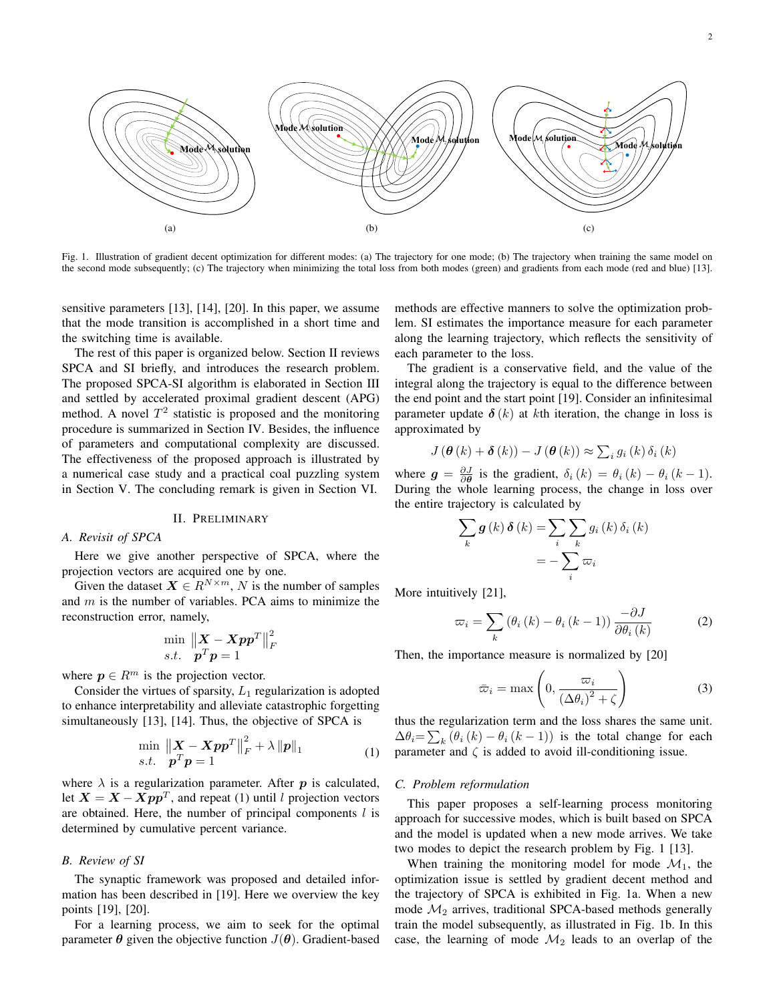

Fig. 1. Illustration of gradient decent optimization for different modes: (a) The trajectory for one mode; (b) The trajectory when training the same model on the second mode subsequently; (c) The trajectory when minimizing the total loss from both modes (green) and gradients from each mode (red and blue) [13].

sensitive parameters [13], [14], [20]. In this paper, we assume that the mode transition is accomplished in a short time and the switching time is available.

The rest of this paper is organized below. Section II reviews SPCA and SI briefly, and introduces the research problem. The proposed SPCA-SI algorithm is elaborated in Section III and settled by accelerated proximal gradient descent (APG) method. A novel  $T^2$  statistic is proposed and the monitoring procedure is summarized in Section IV. Besides, the influence of parameters and computational complexity are discussed. The effectiveness of the proposed approach is illustrated by a numerical case study and a practical coal puzzling system in Section V. The concluding remark is given in Section VI.

## II. PRELIMINARY

## *A. Revisit of SPCA*

Here we give another perspective of SPCA, where the projection vectors are acquired one by one.

Given the dataset  $X \in R^{N \times m}$ , N is the number of samples and  $m$  is the number of variables. PCA aims to minimize the reconstruction error, namely,

$$
\min_{\boldsymbol{s}.\boldsymbol{t}}\ \frac{\|\boldsymbol{X} - \boldsymbol{X}\boldsymbol{p}\boldsymbol{p}^T\|_F^2}{\boldsymbol{p}^T\boldsymbol{p} = 1}
$$

where  $p \in R^m$  is the projection vector.

Consider the virtues of sparsity,  $L_1$  regularization is adopted to enhance interpretability and alleviate catastrophic forgetting simultaneously [13], [14]. Thus, the objective of SPCA is

$$
\min_{s.t.} \|\mathbf{X} - \mathbf{X} \mathbf{p} \mathbf{p}^T\|_F^2 + \lambda \|\mathbf{p}\|_1
$$
\n(1)

where  $\lambda$  is a regularization parameter. After  $p$  is calculated, let  $X = X - Xpp^T$ , and repeat (1) until l projection vectors are obtained. Here, the number of principal components  $l$  is determined by cumulative percent variance.

# *B. Review of SI*

The synaptic framework was proposed and detailed information has been described in [19]. Here we overview the key points [19], [20].

For a learning process, we aim to seek for the optimal parameter  $\theta$  given the objective function  $J(\theta)$ . Gradient-based methods are effective manners to solve the optimization problem. SI estimates the importance measure for each parameter along the learning trajectory, which reflects the sensitivity of each parameter to the loss.

The gradient is a conservative field, and the value of the integral along the trajectory is equal to the difference between the end point and the start point [19]. Consider an infinitesimal parameter update  $\delta(k)$  at kth iteration, the change in loss is approximated by

$$
J\left(\boldsymbol{\theta}\left(k\right)+\boldsymbol{\delta}\left(k\right)\right)-J\left(\boldsymbol{\theta}\left(k\right)\right)\approx\sum_{i}g_{i}\left(k\right)\delta_{i}\left(k\right)
$$

where  $g = \frac{\partial J}{\partial \theta}$  is the gradient,  $\delta_i(k) = \theta_i(k) - \theta_i(k-1)$ . During the whole learning process, the change in loss over the entire trajectory is calculated by

$$
\sum_{k} g(k) \delta(k) = \sum_{i} \sum_{k} g_{i}(k) \delta_{i}(k)
$$

$$
= -\sum_{i} \varpi_{i}
$$

More intuitively [21],

$$
\varpi_{i} = \sum_{k} \left(\theta_{i} \left(k\right) - \theta_{i} \left(k - 1\right)\right) \frac{-\partial J}{\partial \theta_{i} \left(k\right)}\tag{2}
$$

Then, the importance measure is normalized by [20]

$$
\bar{\varpi}_i = \max\left(0, \frac{\varpi_i}{\left(\Delta\theta_i\right)^2 + \zeta}\right) \tag{3}
$$

thus the regularization term and the loss shares the same unit.  $\Delta \theta_i = \sum_k (\theta_i (k) - \theta_i (k-1))$  is the total change for each parameter and  $\zeta$  is added to avoid ill-conditioning issue.

## *C. Problem reformulation*

This paper proposes a self-learning process monitoring approach for successive modes, which is built based on SPCA and the model is updated when a new mode arrives. We take two modes to depict the research problem by Fig. 1 [13].

When training the monitoring model for mode  $\mathcal{M}_1$ , the optimization issue is settled by gradient decent method and the trajectory of SPCA is exhibited in Fig. 1a. When a new mode  $\mathcal{M}_2$  arrives, traditional SPCA-based methods generally train the model subsequently, as illustrated in Fig. 1b. In this case, the learning of mode  $\mathcal{M}_2$  leads to an overlap of the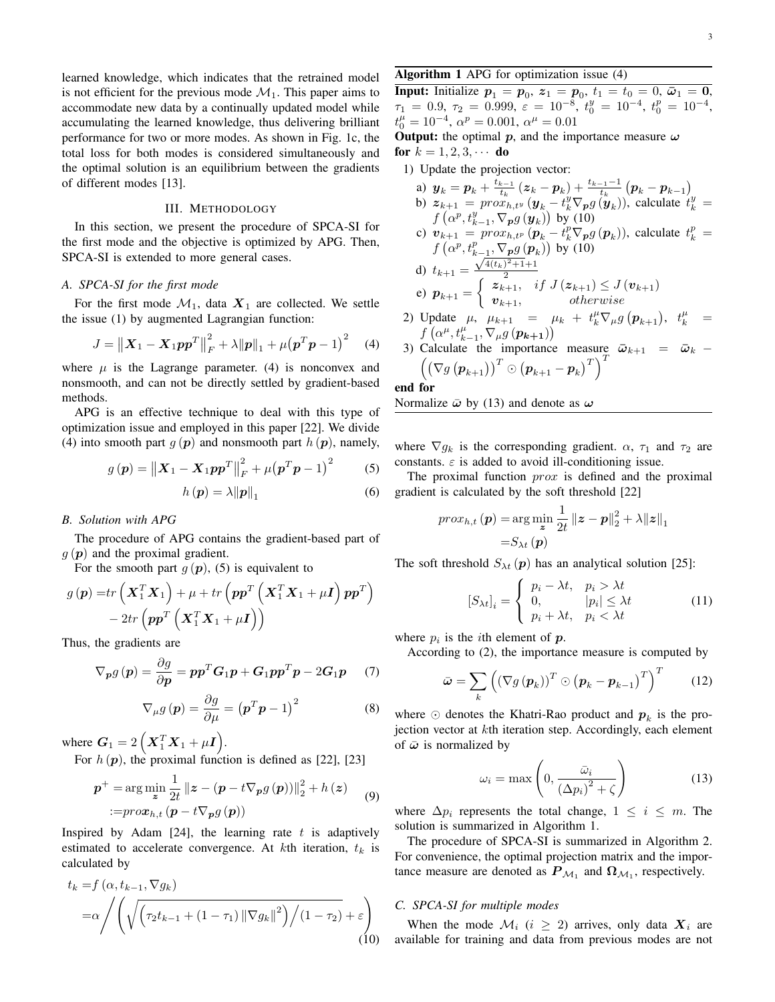learned knowledge, which indicates that the retrained model is not efficient for the previous mode  $\mathcal{M}_1$ . This paper aims to accommodate new data by a continually updated model while accumulating the learned knowledge, thus delivering brilliant performance for two or more modes. As shown in Fig. 1c, the total loss for both modes is considered simultaneously and the optimal solution is an equilibrium between the gradients of different modes [13].

## III. METHODOLOGY

In this section, we present the procedure of SPCA-SI for the first mode and the objective is optimized by APG. Then, SPCA-SI is extended to more general cases.

## *A. SPCA-SI for the first mode*

For the first mode  $\mathcal{M}_1$ , data  $X_1$  are collected. We settle the issue (1) by augmented Lagrangian function:

$$
J = \| \boldsymbol{X}_1 - \boldsymbol{X}_1 \boldsymbol{p} \boldsymbol{p}^T \|_F^2 + \lambda \| \boldsymbol{p} \|_1 + \mu (\boldsymbol{p}^T \boldsymbol{p} - 1)^2 \quad (4)
$$

where  $\mu$  is the Lagrange parameter. (4) is nonconvex and nonsmooth, and can not be directly settled by gradient-based methods.

APG is an effective technique to deal with this type of optimization issue and employed in this paper [22]. We divide (4) into smooth part  $g(p)$  and nonsmooth part  $h(p)$ , namely,

$$
g(p) = \|X_1 - X_1 pp^T\|_F^2 + \mu (p^T p - 1)^2 \tag{5}
$$

$$
h\left(\mathbf{p}\right) = \lambda \|\mathbf{p}\|_{1} \tag{6}
$$

## *B. Solution with APG*

The procedure of APG contains the gradient-based part of  $g(\mathbf{p})$  and the proximal gradient.

For the smooth part  $g(p)$ , (5) is equivalent to

$$
g(\mathbf{p}) = tr\left(\mathbf{X}_1^T \mathbf{X}_1\right) + \mu + tr\left(\mathbf{p}\mathbf{p}^T \left(\mathbf{X}_1^T \mathbf{X}_1 + \mu \mathbf{I}\right) \mathbf{p}\mathbf{p}^T\right) - 2tr\left(\mathbf{p}\mathbf{p}^T \left(\mathbf{X}_1^T \mathbf{X}_1 + \mu \mathbf{I}\right)\right)
$$

Thus, the gradients are

$$
\nabla_{\boldsymbol{p}} g(\boldsymbol{p}) = \frac{\partial g}{\partial \boldsymbol{p}} = \boldsymbol{p} \boldsymbol{p}^T \boldsymbol{G}_1 \boldsymbol{p} + \boldsymbol{G}_1 \boldsymbol{p} \boldsymbol{p}^T \boldsymbol{p} - 2 \boldsymbol{G}_1 \boldsymbol{p} \qquad (7)
$$

$$
\nabla_{\mu} g\left(\mathbf{p}\right) = \frac{\partial g}{\partial \mu} = \left(\mathbf{p}^T \mathbf{p} - 1\right)^2 \tag{8}
$$

where  $G_1 = 2(X_1^T X_1 + \mu I)$ .

For  $h(p)$ , the proximal function is defined as [22], [23]

$$
\boldsymbol{p}^{+} = \arg\min_{\boldsymbol{z}} \frac{1}{2t} \left\| \boldsymbol{z} - (\boldsymbol{p} - t \nabla_{\boldsymbol{p}} g(\boldsymbol{p})) \right\|_{2}^{2} + h(\boldsymbol{z}) \tag{9}
$$

$$
:= prox_{h,t} (\boldsymbol{p} - t \nabla_{\boldsymbol{p}} g(\boldsymbol{p}))
$$

Inspired by Adam [24], the learning rate  $t$  is adaptively estimated to accelerate convergence. At  $k$ th iteration,  $t_k$  is calculated by

$$
t_{k} = f\left(\alpha, t_{k-1}, \nabla g_{k}\right)
$$
  
=\alpha \Big/ \Bigg( \sqrt{\Big(\tau\_{2} t\_{k-1} + (1 - \tau\_{1}) \left\|\nabla g\_{k}\right\|^{2}\Big) / (1 - \tau\_{2})} + \varepsilon \Bigg) (10)

# Algorithm 1 APG for optimization issue (4)

**Input:** Initialize  $p_1 = p_0$ ,  $z_1 = p_0$ ,  $t_1 = t_0 = 0$ ,  $\bar{\omega}_1 = 0$ ,  $\tau_1 = 0.9, \tau_2 = 0.999, \ \varepsilon = 10^{-8}, \ t_0^y = 10^{-4}, \ t_0^p = 10^{-4},$  $t_0^{\mu} = 10^{-4}, \ \alpha^{\nu} = 0.001, \ \alpha^{\mu} = 0.01$ 

**Output:** the optimal p, and the importance measure  $\omega$ for  $k = 1, 2, 3, \cdots$  do

1) Update the projection vector:

a) 
$$
\mathbf{y}_k = \mathbf{p}_k + \frac{t_{k-1}}{t_k} (\mathbf{z}_k - \mathbf{p}_k) + \frac{t_{k-1}-1}{t_k} (\mathbf{p}_k - \mathbf{p}_{k-1})
$$
  
b)  $\mathbf{z}_{k+1} = prox_{h,t^y} (\mathbf{y}_k - t^y_k \nabla_p g(\mathbf{y}_k))$ , calculate  $t^y_k = f(\alpha^p, t^y_{k-1}, \nabla_p g(\mathbf{y}_k))$  by (10)

c) 
$$
\mathbf{v}_{k+1} = prox_{h,t^p} (\mathbf{p}_k - t_k^p \nabla_{\mathbf{p}} g(\mathbf{p}_k)),
$$
 calculate  $t_k^p = f(\alpha^p, t_{k-1}^p, \nabla_{\mathbf{p}} g(\mathbf{p}_k))$  by (10)

d) 
$$
t_{k+1} = \frac{\sqrt{4(t_k)^2 + 1 + 1}}{2}
$$
  
e)  $p_{k+1} = \begin{cases} z_{k+1}, & if \ J(z_{k+1}) \le J(v_{k+1}) \\ v_{k+1}, & otherwise \end{cases}$ 

- 2) Update  $\mu$ ,  $\mu_{k+1} = \mu_k + t_k^{\mu} \nabla_{\mu} g(p_{k+1}), t_k^{\mu} =$  $f\left(\alpha^{\mu},t_{k-1}^{\mu},\nabla_{\mu}g\left(\boldsymbol{p_{k+1}}\right)\right)$
- 3) Calculate the importance measure  $\bar{\omega}_{k+1} = \bar{\omega}_k$   $\left(\left(\nabla g\left(\boldsymbol{p}_{k+1}\right)\right)^T \odot \left(\boldsymbol{p}_{k+1}-\boldsymbol{p}_{k}\right)^T\right)^T$

## end for

Normalize  $\bar{\omega}$  by (13) and denote as  $\omega$ 

where  $\nabla g_k$  is the corresponding gradient.  $\alpha$ ,  $\tau_1$  and  $\tau_2$  are constants.  $\varepsilon$  is added to avoid ill-conditioning issue.

The proximal function  $prox$  is defined and the proximal gradient is calculated by the soft threshold [22]

$$
prox_{h,t}(\boldsymbol{p}) = \arg\min_{\boldsymbol{z}} \frac{1}{2t} \left\| \boldsymbol{z} - \boldsymbol{p} \right\|_2^2 + \lambda \|\boldsymbol{z}\|_1
$$

$$
= S_{\lambda t}(\boldsymbol{p})
$$

The soft threshold  $S_{\lambda t}(\boldsymbol{p})$  has an analytical solution [25]:

$$
[S_{\lambda t}]_i = \begin{cases} p_i - \lambda t, & p_i > \lambda t \\ 0, & |p_i| \le \lambda t \\ p_i + \lambda t, & p_i < \lambda t \end{cases}
$$
 (11)

where  $p_i$  is the *i*th element of  $p$ .

According to (2), the importance measure is computed by

$$
\bar{\boldsymbol{\omega}} = \sum_{k} \left( \left( \nabla g \left( \boldsymbol{p}_{k} \right) \right)^{T} \odot \left( \boldsymbol{p}_{k} - \boldsymbol{p}_{k-1} \right)^{T} \right)^{T} \qquad (12)
$$

where  $\odot$  denotes the Khatri-Rao product and  $p_k$  is the projection vector at *kth* iteration step. Accordingly, each element of  $\bar{\omega}$  is normalized by

$$
\omega_i = \max\left(0, \frac{\bar{\omega}_i}{\left(\Delta p_i\right)^2 + \zeta}\right) \tag{13}
$$

where  $\Delta p_i$  represents the total change,  $1 \leq i \leq m$ . The solution is summarized in Algorithm 1.

The procedure of SPCA-SI is summarized in Algorithm 2. For convenience, the optimal projection matrix and the importance measure are denoted as  $P_{\mathcal{M}_1}$  and  $\Omega_{\mathcal{M}_1}$ , respectively.

## *C. SPCA-SI for multiple modes*

When the mode  $\mathcal{M}_i$  ( $i \geq 2$ ) arrives, only data  $X_i$  are available for training and data from previous modes are not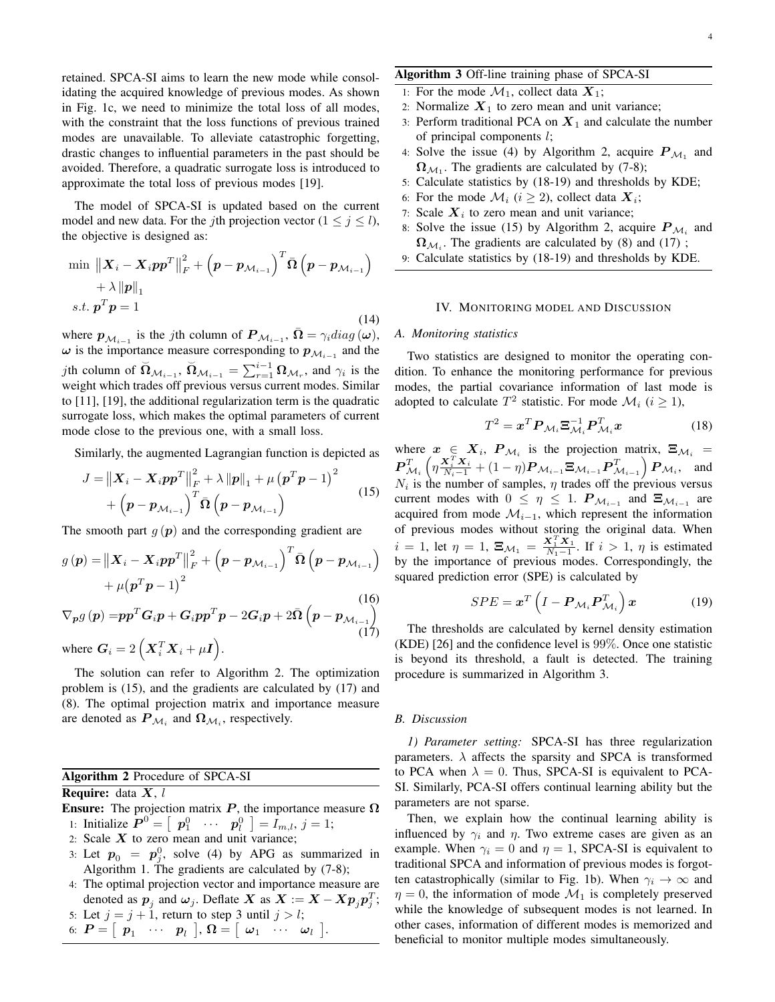retained. SPCA-SI aims to learn the new mode while consolidating the acquired knowledge of previous modes. As shown in Fig. 1c, we need to minimize the total loss of all modes, with the constraint that the loss functions of previous trained modes are unavailable. To alleviate catastrophic forgetting, drastic changes to influential parameters in the past should be avoided. Therefore, a quadratic surrogate loss is introduced to approximate the total loss of previous modes [19].

The model of SPCA-SI is updated based on the current model and new data. For the *j*th projection vector  $(1 \le j \le l)$ , the objective is designed as:

$$
\min \left\| \boldsymbol{X}_{i} - \boldsymbol{X}_{i} \boldsymbol{p} \boldsymbol{p}^{T} \right\|_{F}^{2} + \left( \boldsymbol{p} - \boldsymbol{p}_{\mathcal{M}_{i-1}} \right)^{T} \bar{\boldsymbol{\Omega}} \left( \boldsymbol{p} - \boldsymbol{p}_{\mathcal{M}_{i-1}} \right) + \lambda \left\| \boldsymbol{p} \right\|_{1}
$$
\n
$$
s.t. \ \boldsymbol{p}^{T} \boldsymbol{p} = 1
$$
\n(14)

where  $p_{\mathcal{M}_{i-1}}$  is the *j*th column of  $P_{\mathcal{M}_{i-1}}$ ,  $\bar{\Omega} = \gamma_i diag(\omega)$ ,  $\omega$  is the importance measure corresponding to  $p_{\mathcal{M}_{i-1}}$  and the *j*th column of  $\overline{\Omega}_{\mathcal{M}_{i-1}}$ ,  $\overline{\Omega}_{\mathcal{M}_{i-1}} = \sum_{r=1}^{i-1} \Omega_{\mathcal{M}_r}$ , and  $\gamma_i$  is the weight which trades off previous versus current modes. Similar to [11], [19], the additional regularization term is the quadratic surrogate loss, which makes the optimal parameters of current mode close to the previous one, with a small loss.

Similarly, the augmented Lagrangian function is depicted as

$$
J = ||X_i - X_i pp^T||_F^2 + \lambda ||p||_1 + \mu (p^T p - 1)^2 + (p - p_{\mathcal{M}_{i-1}})^T \bar{\Omega} (p - p_{\mathcal{M}_{i-1}})
$$
\n(15)

The smooth part  $q(p)$  and the corresponding gradient are

$$
g(\boldsymbol{p}) = \left\| \boldsymbol{X}_i - \boldsymbol{X}_i \boldsymbol{p} \boldsymbol{p}^T \right\|_F^2 + \left( \boldsymbol{p} - \boldsymbol{p}_{\mathcal{M}_{i-1}} \right)^T \bar{\boldsymbol{\Omega}} \left( \boldsymbol{p} - \boldsymbol{p}_{\mathcal{M}_{i-1}} \right) + \mu (\boldsymbol{p}^T \boldsymbol{p} - 1)^2
$$
\n(16)

$$
\nabla_{\boldsymbol{p}} g(\boldsymbol{p}) = p \boldsymbol{p}^T \boldsymbol{G}_i \boldsymbol{p} + \boldsymbol{G}_i p \boldsymbol{p}^T \boldsymbol{p} - 2 \boldsymbol{G}_i \boldsymbol{p} + 2 \bar{\boldsymbol{\Omega}} \left( \boldsymbol{p} - \boldsymbol{p}_{\mathcal{M}_{i-1}} \right)
$$
\nwhere 
$$
\boldsymbol{G}_i = 2 \left( \boldsymbol{X}_i^T \boldsymbol{X}_i + \mu \boldsymbol{I} \right).
$$
\n(17)

The solution can refer to Algorithm 2. The optimization problem is (15), and the gradients are calculated by (17) and (8). The optimal projection matrix and importance measure are denoted as  $P_{\mathcal{M}_i}$  and  $\Omega_{\mathcal{M}_i}$ , respectively.

Algorithm 2 Procedure of SPCA-SI

# **Require:** data  $X$ , l

Ensure: The projection matrix  $P$ , the importance measure  $\Omega$ 1: Initialize  $\boldsymbol{P}^0 = \begin{bmatrix} p_1^0 & \cdots & p_l^0 \end{bmatrix} = \overline{I}_{m,l}, j = 1;$ 

- 2: Scale  $X$  to zero mean and unit variance;
- 3: Let  $p_0 = p_j^0$ , solve (4) by APG as summarized in Algorithm 1. The gradients are calculated by  $(7-8)$ ;
- 4: The optimal projection vector and importance measure are denoted as  $p_j$  and  $\omega_j$ . Deflate X as  $X := X - Xp_jp_j^T;$

5: Let 
$$
j = j + 1
$$
, return to step 3 until  $j > l$ ;  
6:  $P = [p_1 \cdots p_l], \Omega = [ \omega_1 \cdots \omega_l].$ 

# Algorithm 3 Off-line training phase of SPCA-SI

- 1: For the mode  $\mathcal{M}_1$ , collect data  $\mathbf{X}_1$ ;
- 2: Normalize  $X_1$  to zero mean and unit variance;
- 3: Perform traditional PCA on  $X_1$  and calculate the number of principal components  $l$ ;
- 4: Solve the issue (4) by Algorithm 2, acquire  $P_{\mathcal{M}_1}$  and  $\Omega_{\mathcal{M}_1}$ . The gradients are calculated by (7-8);
- 5: Calculate statistics by (18-19) and thresholds by KDE;
- 6: For the mode  $\mathcal{M}_i$  ( $i \ge 2$ ), collect data  $\boldsymbol{X}_i$ ;
- 7: Scale  $X_i$  to zero mean and unit variance;
- 8: Solve the issue (15) by Algorithm 2, acquire  $P_{\mathcal{M}_i}$  and  $\Omega_{\mathcal{M}_i}$ . The gradients are calculated by (8) and (17);
- 9: Calculate statistics by (18-19) and thresholds by KDE.

## IV. MONITORING MODEL AND DISCUSSION

## *A. Monitoring statistics*

Two statistics are designed to monitor the operating condition. To enhance the monitoring performance for previous modes, the partial covariance information of last mode is adopted to calculate  $T^2$  statistic. For mode  $\mathcal{M}_i$  ( $i \ge 1$ ),

$$
T^2 = \boldsymbol{x}^T \boldsymbol{P}_{\mathcal{M}_i} \boldsymbol{\Xi}_{\mathcal{M}_i}^{-1} \boldsymbol{P}_{\mathcal{M}_i}^T \boldsymbol{x}
$$
 (18)

where  $x \in X_i$ ,  $P_{\mathcal{M}_i}$  is the projection matrix,  $\Xi_{\mathcal{M}_i} =$  $\boldsymbol{P}_{\mathcal{M}_i}^T \left( \eta \frac{\boldsymbol{X}_i^T \boldsymbol{X}_i}{N_i-1} + (1-\eta) \boldsymbol{P}_{\mathcal{M}_{i-1}} \boldsymbol{\Xi}_{\mathcal{M}_{i-1}} \boldsymbol{P}_{\mathcal{M}_{i-1}}^T \right) \boldsymbol{P}_{\mathcal{M}_i}$ , and  $N_i$  is the number of samples,  $\eta$  trades off the previous versus current modes with  $0 \leq \eta \leq 1$ .  $P_{\mathcal{M}_{i-1}}$  and  $\Xi_{\mathcal{M}_{i-1}}$  are acquired from mode  $\mathcal{M}_{i-1}$ , which represent the information of previous modes without storing the original data. When  $i = 1$ , let  $\eta = 1$ ,  $\Xi_{\mathcal{M}_1} = \frac{\mathbf{X}_1^T \mathbf{X}_1}{N_1 - 1}$ . If  $i > 1$ ,  $\eta$  is estimated by the importance of previous modes. Correspondingly, the squared prediction error (SPE) is calculated by

$$
SPE = \boldsymbol{x}^{T} \left( I - \boldsymbol{P}_{\mathcal{M}_{i}} \boldsymbol{P}_{\mathcal{M}_{i}}^{T} \right) \boldsymbol{x}
$$
 (19)

The thresholds are calculated by kernel density estimation (KDE) [26] and the confidence level is 99%. Once one statistic is beyond its threshold, a fault is detected. The training procedure is summarized in Algorithm 3.

### *B. Discussion*

*1) Parameter setting:* SPCA-SI has three regularization parameters.  $\lambda$  affects the sparsity and SPCA is transformed to PCA when  $\lambda = 0$ . Thus, SPCA-SI is equivalent to PCA-SI. Similarly, PCA-SI offers continual learning ability but the parameters are not sparse.

Then, we explain how the continual learning ability is influenced by  $\gamma_i$  and  $\eta$ . Two extreme cases are given as an example. When  $\gamma_i = 0$  and  $\eta = 1$ , SPCA-SI is equivalent to traditional SPCA and information of previous modes is forgotten catastrophically (similar to Fig. 1b). When  $\gamma_i \to \infty$  and  $\eta = 0$ , the information of mode  $\mathcal{M}_1$  is completely preserved while the knowledge of subsequent modes is not learned. In other cases, information of different modes is memorized and beneficial to monitor multiple modes simultaneously.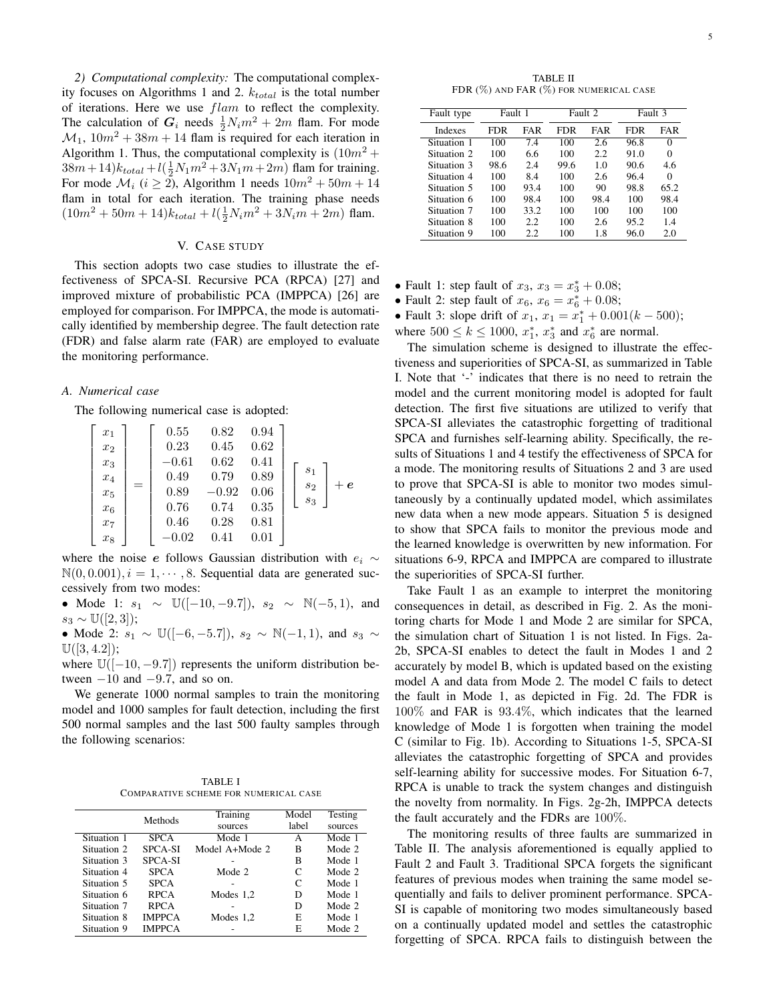*2) Computational complexity:* The computational complexity focuses on Algorithms 1 and 2.  $k_{total}$  is the total number of iterations. Here we use  $flam$  to reflect the complexity. The calculation of  $G_i$  needs  $\frac{1}{2}N_i m^2 + 2m$  flam. For mode  $M_1$ ,  $10m^2 + 38m + 14$  flam is required for each iteration in Algorithm 1. Thus, the computational complexity is  $(10m^2 +$  $38m+14$ ) $k_{total}$  +  $l(\frac{1}{2}N_1m^2+3N_1m+2m)$  flam for training. For mode  $\mathcal{M}_i$  ( $i \ge 2$ ), Algorithm 1 needs  $10m^2 + 50m + 14$ flam in total for each iteration. The training phase needs  $(10m^2 + 50m + 14)k_{total} + l(\frac{1}{2}N_im^2 + 3N_im + 2m)$  flam.

# V. CASE STUDY

This section adopts two case studies to illustrate the effectiveness of SPCA-SI. Recursive PCA (RPCA) [27] and improved mixture of probabilistic PCA (IMPPCA) [26] are employed for comparison. For IMPPCA, the mode is automatically identified by membership degree. The fault detection rate (FDR) and false alarm rate (FAR) are employed to evaluate the monitoring performance.

## *A. Numerical case*

The following numerical case is adopted:

$$
\begin{bmatrix} x_1 \\ x_2 \\ x_3 \\ x_4 \\ x_5 \\ x_6 \\ x_7 \\ x_8 \end{bmatrix} = \begin{bmatrix} 0.55 & 0.82 & 0.94 \\ 0.23 & 0.45 & 0.62 \\ -0.61 & 0.62 & 0.41 \\ 0.49 & 0.79 & 0.89 \\ 0.89 & -0.92 & 0.06 \\ 0.76 & 0.74 & 0.35 \\ 0.46 & 0.28 & 0.81 \\ -0.02 & 0.41 & 0.01 \end{bmatrix} \begin{bmatrix} s_1 \\ s_2 \\ s_3 \end{bmatrix} + \boldsymbol{e}
$$

where the noise e follows Gaussian distribution with  $e_i \sim$  $\mathbb{N}(0, 0.001), i = 1, \dots, 8$ . Sequential data are generated successively from two modes:

• Mode 1:  $s_1 \sim \mathbb{U}([-10, -9.7]), s_2 \sim \mathbb{N}(-5, 1)$ , and  $s_3 \sim \mathbb{U}([2,3])$ ;

• Mode 2:  $s_1 \sim \mathbb{U}([-6, -5.7]), s_2 \sim \mathbb{N}(-1, 1)$ , and  $s_3 \sim$  $\mathbb{U}([3, 4.2])$ ;

where  $\mathbb{U}([-10, -9.7])$  represents the uniform distribution between  $-10$  and  $-9.7$ , and so on.

We generate 1000 normal samples to train the monitoring model and 1000 samples for fault detection, including the first 500 normal samples and the last 500 faulty samples through the following scenarios:

TABLE I COMPARATIVE SCHEME FOR NUMERICAL CASE

|             | Methods        | Training       | Model | Testing |
|-------------|----------------|----------------|-------|---------|
|             |                | sources        | label | sources |
| Situation 1 | <b>SPCA</b>    | Mode 1         | А     | Mode 1  |
| Situation 2 | <b>SPCA-SI</b> | Model A+Mode 2 | В     | Mode 2  |
| Situation 3 | <b>SPCA-SI</b> |                | B     | Mode 1  |
| Situation 4 | <b>SPCA</b>    | Mode 2         | C     | Mode 2  |
| Situation 5 | <b>SPCA</b>    |                | C     | Mode 1  |
| Situation 6 | <b>RPCA</b>    | Modes $1,2$    | D     | Mode 1  |
| Situation 7 | <b>RPCA</b>    |                | D     | Mode 2  |
| Situation 8 | <b>IMPPCA</b>  | Modes $1,2$    | E     | Mode 1  |
| Situation 9 | <b>IMPPCA</b>  |                | E     | Mode 2  |

| Fault type  | Fault 1 |      | Fault 2 |            | Fault 3 |            |
|-------------|---------|------|---------|------------|---------|------------|
| Indexes     | FDR     | FAR  | FDR     | <b>FAR</b> | FDR     | <b>FAR</b> |
| Situation 1 | 100     | 7.4  | 100     | 2.6        | 96.8    | 0          |
| Situation 2 | 100     | 66   | 100     | 2.2        | 91.0    | 0          |
| Situation 3 | 98.6    | 2.4  | 99.6    | 10         | 90.6    | 4.6        |
| Situation 4 | 100     | 84   | 100     | 2.6        | 96.4    | 0          |
| Situation 5 | 100     | 93.4 | 100     | 90         | 98.8    | 65.2       |
| Situation 6 | 100     | 98.4 | 100     | 98.4       | 100     | 98.4       |
| Situation 7 | 100     | 33.2 | 100     | 100        | 100     | 100        |
| Situation 8 | 100     | 2.2. | 100     | 2.6        | 95.2    | 1.4        |
| Situation 9 | 100     | 2.2  | 100     | 1.8        | 96.0    | 2.0        |

• Fault 1: step fault of  $x_3, x_3 = x_3^* + 0.08;$ 

• Fault 2: step fault of  $x_6, x_6 = x_6^* + 0.08;$ 

• Fault 3: slope drift of  $x_1$ ,  $x_1 = x_1^* + 0.001(k - 500)$ ;

where  $500 \le k \le 1000$ ,  $x_1^*$ ,  $x_3^*$  and  $x_6^*$  are normal.

The simulation scheme is designed to illustrate the effectiveness and superiorities of SPCA-SI, as summarized in Table I. Note that '-' indicates that there is no need to retrain the model and the current monitoring model is adopted for fault detection. The first five situations are utilized to verify that SPCA-SI alleviates the catastrophic forgetting of traditional SPCA and furnishes self-learning ability. Specifically, the results of Situations 1 and 4 testify the effectiveness of SPCA for a mode. The monitoring results of Situations 2 and 3 are used to prove that SPCA-SI is able to monitor two modes simultaneously by a continually updated model, which assimilates new data when a new mode appears. Situation 5 is designed to show that SPCA fails to monitor the previous mode and the learned knowledge is overwritten by new information. For situations 6-9, RPCA and IMPPCA are compared to illustrate the superiorities of SPCA-SI further.

Take Fault 1 as an example to interpret the monitoring consequences in detail, as described in Fig. 2. As the monitoring charts for Mode 1 and Mode 2 are similar for SPCA, the simulation chart of Situation 1 is not listed. In Figs. 2a-2b, SPCA-SI enables to detect the fault in Modes 1 and 2 accurately by model B, which is updated based on the existing model A and data from Mode 2. The model C fails to detect the fault in Mode 1, as depicted in Fig. 2d. The FDR is 100% and FAR is 93.4%, which indicates that the learned knowledge of Mode 1 is forgotten when training the model C (similar to Fig. 1b). According to Situations 1-5, SPCA-SI alleviates the catastrophic forgetting of SPCA and provides self-learning ability for successive modes. For Situation 6-7, RPCA is unable to track the system changes and distinguish the novelty from normality. In Figs. 2g-2h, IMPPCA detects the fault accurately and the FDRs are 100%.

The monitoring results of three faults are summarized in Table II. The analysis aforementioned is equally applied to Fault 2 and Fault 3. Traditional SPCA forgets the significant features of previous modes when training the same model sequentially and fails to deliver prominent performance. SPCA-SI is capable of monitoring two modes simultaneously based on a continually updated model and settles the catastrophic forgetting of SPCA. RPCA fails to distinguish between the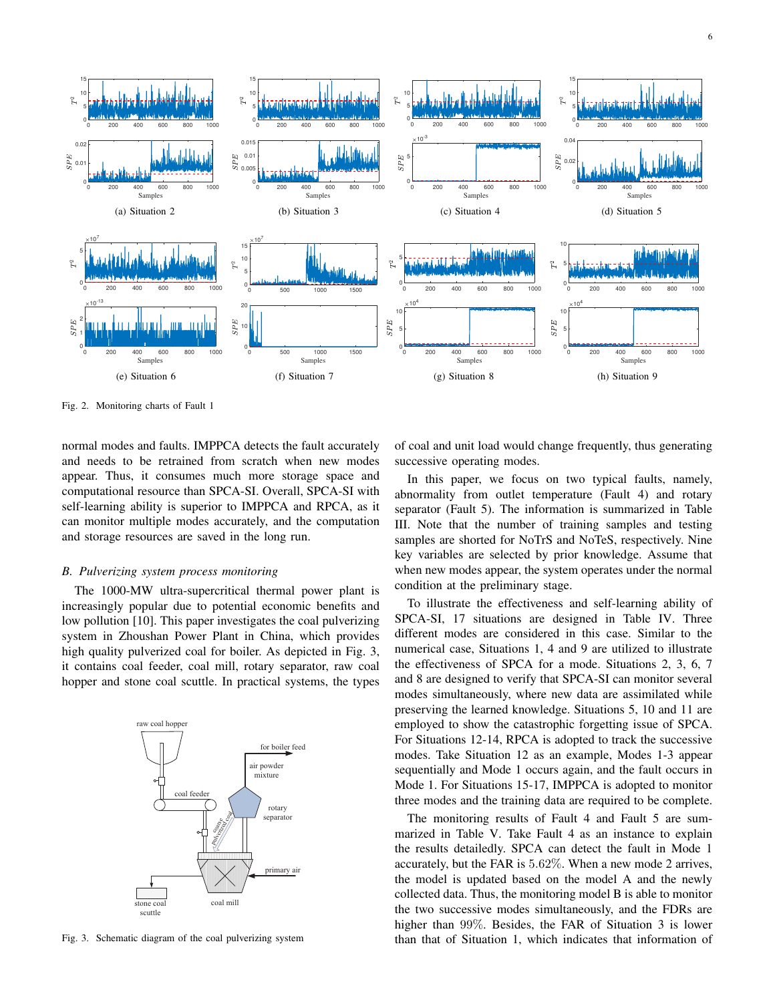

Fig. 2. Monitoring charts of Fault 1

normal modes and faults. IMPPCA detects the fault accurately and needs to be retrained from scratch when new modes appear. Thus, it consumes much more storage space and computational resource than SPCA-SI. Overall, SPCA-SI with self-learning ability is superior to IMPPCA and RPCA, as it can monitor multiple modes accurately, and the computation and storage resources are saved in the long run.

## *B. Pulverizing system process monitoring*

The 1000-MW ultra-supercritical thermal power plant is increasingly popular due to potential economic benefits and low pollution [10]. This paper investigates the coal pulverizing system in Zhoushan Power Plant in China, which provides high quality pulverized coal for boiler. As depicted in Fig. 3, it contains coal feeder, coal mill, rotary separator, raw coal hopper and stone coal scuttle. In practical systems, the types



Fig. 3. Schematic diagram of the coal pulverizing system

of coal and unit load would change frequently, thus generating successive operating modes.

In this paper, we focus on two typical faults, namely, abnormality from outlet temperature (Fault 4) and rotary separator (Fault 5). The information is summarized in Table III. Note that the number of training samples and testing samples are shorted for NoTrS and NoTeS, respectively. Nine key variables are selected by prior knowledge. Assume that when new modes appear, the system operates under the normal condition at the preliminary stage.

To illustrate the effectiveness and self-learning ability of SPCA-SI, 17 situations are designed in Table IV. Three different modes are considered in this case. Similar to the numerical case, Situations 1, 4 and 9 are utilized to illustrate the effectiveness of SPCA for a mode. Situations 2, 3, 6, 7 and 8 are designed to verify that SPCA-SI can monitor several modes simultaneously, where new data are assimilated while preserving the learned knowledge. Situations 5, 10 and 11 are employed to show the catastrophic forgetting issue of SPCA. For Situations 12-14, RPCA is adopted to track the successive modes. Take Situation 12 as an example, Modes 1-3 appear sequentially and Mode 1 occurs again, and the fault occurs in Mode 1. For Situations 15-17, IMPPCA is adopted to monitor three modes and the training data are required to be complete.

The monitoring results of Fault 4 and Fault 5 are summarized in Table V. Take Fault 4 as an instance to explain the results detailedly. SPCA can detect the fault in Mode 1 accurately, but the FAR is 5.62%. When a new mode 2 arrives, the model is updated based on the model A and the newly collected data. Thus, the monitoring model B is able to monitor the two successive modes simultaneously, and the FDRs are higher than 99%. Besides, the FAR of Situation 3 is lower than that of Situation 1, which indicates that information of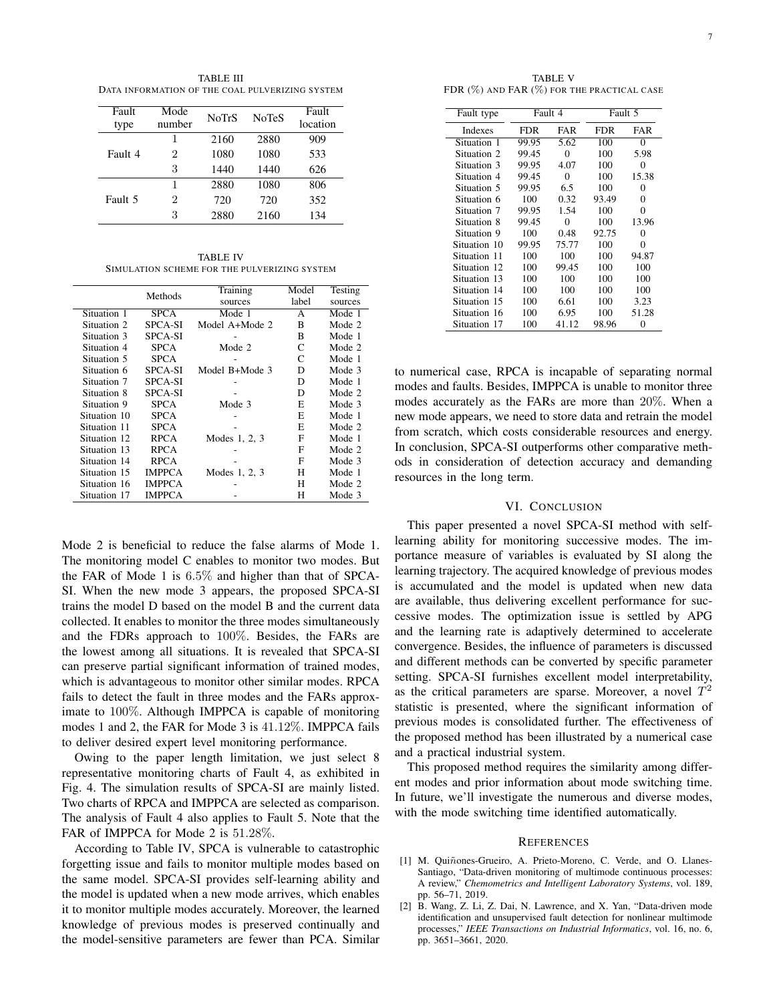TABLE III DATA INFORMATION OF THE COAL PULVERIZING SYSTEM

| Fault<br>type | Mode<br>number | <b>NoTrS</b> | <b>NoTeS</b> | Fault<br>location |
|---------------|----------------|--------------|--------------|-------------------|
| Fault 4       | 1              | 2160         | 2880         | 909               |
|               | 2              | 1080         | 1080         | 533               |
|               | 3              | 1440         | 1440         | 626               |
| Fault 5       | 1              | 2880         | 1080         | 806               |
|               | 2              | 720          | 720          | 352               |
|               | 3              | 2880         | 2160         | 134               |

TABLE IV SIMULATION SCHEME FOR THE PULVERIZING SYSTEM

|              | Methods        | Training       | Model | Testing |
|--------------|----------------|----------------|-------|---------|
|              |                | sources        | label | sources |
| Situation 1  | <b>SPCA</b>    | Mode 1         | A     | Mode 1  |
| Situation 2  | <b>SPCA-SI</b> | Model A+Mode 2 | B     | Mode 2  |
| Situation 3  | <b>SPCA-SI</b> |                | B     | Mode 1  |
| Situation 4  | <b>SPCA</b>    | Mode 2         | C     | Mode 2  |
| Situation 5  | <b>SPCA</b>    |                | C     | Mode 1  |
| Situation 6  | <b>SPCA-SI</b> | Model B+Mode 3 | D     | Mode 3  |
| Situation 7  | <b>SPCA-SI</b> |                | D     | Mode 1  |
| Situation 8  | <b>SPCA-SI</b> |                | D     | Mode 2  |
| Situation 9  | <b>SPCA</b>    | Mode 3         | E     | Mode 3  |
| Situation 10 | <b>SPCA</b>    |                | E     | Mode 1  |
| Situation 11 | <b>SPCA</b>    |                | E     | Mode 2  |
| Situation 12 | <b>RPCA</b>    | Modes 1, 2, 3  | F     | Mode 1  |
| Situation 13 | <b>RPCA</b>    |                | F     | Mode 2  |
| Situation 14 | <b>RPCA</b>    |                | F     | Mode 3  |
| Situation 15 | <b>IMPPCA</b>  | Modes 1, 2, 3  | н     | Mode 1  |
| Situation 16 | <b>IMPPCA</b>  |                | н     | Mode 2  |
| Situation 17 | <b>IMPPCA</b>  |                | н     | Mode 3  |

Mode 2 is beneficial to reduce the false alarms of Mode 1. The monitoring model C enables to monitor two modes. But the FAR of Mode 1 is 6.5% and higher than that of SPCA-SI. When the new mode 3 appears, the proposed SPCA-SI trains the model D based on the model B and the current data collected. It enables to monitor the three modes simultaneously and the FDRs approach to 100%. Besides, the FARs are the lowest among all situations. It is revealed that SPCA-SI can preserve partial significant information of trained modes, which is advantageous to monitor other similar modes. RPCA fails to detect the fault in three modes and the FARs approximate to 100%. Although IMPPCA is capable of monitoring modes 1 and 2, the FAR for Mode 3 is 41.12%. IMPPCA fails to deliver desired expert level monitoring performance.

Owing to the paper length limitation, we just select 8 representative monitoring charts of Fault 4, as exhibited in Fig. 4. The simulation results of SPCA-SI are mainly listed. Two charts of RPCA and IMPPCA are selected as comparison. The analysis of Fault 4 also applies to Fault 5. Note that the FAR of IMPPCA for Mode 2 is 51.28%.

According to Table IV, SPCA is vulnerable to catastrophic forgetting issue and fails to monitor multiple modes based on the same model. SPCA-SI provides self-learning ability and the model is updated when a new mode arrives, which enables it to monitor multiple modes accurately. Moreover, the learned knowledge of previous modes is preserved continually and the model-sensitive parameters are fewer than PCA. Similar

TABLE V FDR (%) AND FAR (%) FOR THE PRACTICAL CASE

| Fault type   | Fault 4 |          | Fault 5 |       |
|--------------|---------|----------|---------|-------|
| Indexes      | FDR     | FAR      | FDR     | FAR   |
| Situation 1  | 99.95   | 5.62     | 100     | 0     |
| Situation 2  | 99.45   | 0        | 100     | 5.98  |
| Situation 3  | 99.95   | 4.07     | 100     | 0     |
| Situation 4  | 99.45   | $\Omega$ | 100     | 15.38 |
| Situation 5  | 99.95   | 6.5      | 100     | 0     |
| Situation 6  | 100     | 0.32     | 93.49   | 0     |
| Situation 7  | 99.95   | 1.54     | 100     | 0     |
| Situation 8  | 99.45   | $\Omega$ | 100     | 13.96 |
| Situation 9  | 100     | 0.48     | 92.75   | 0     |
| Situation 10 | 99.95   | 75.77    | 100     | 0     |
| Situation 11 | 100     | 100      | 100     | 94.87 |
| Situation 12 | 100     | 99.45    | 100     | 100   |
| Situation 13 | 100     | 100      | 100     | 100   |
| Situation 14 | 100     | 100      | 100     | 100   |
| Situation 15 | 100     | 6.61     | 100     | 3.23  |
| Situation 16 | 100     | 6.95     | 100     | 51.28 |
| Situation 17 | 100     | 41.12    | 98.96   | 0     |

to numerical case, RPCA is incapable of separating normal modes and faults. Besides, IMPPCA is unable to monitor three modes accurately as the FARs are more than 20%. When a new mode appears, we need to store data and retrain the model from scratch, which costs considerable resources and energy. In conclusion, SPCA-SI outperforms other comparative methods in consideration of detection accuracy and demanding resources in the long term.

## VI. CONCLUSION

This paper presented a novel SPCA-SI method with selflearning ability for monitoring successive modes. The importance measure of variables is evaluated by SI along the learning trajectory. The acquired knowledge of previous modes is accumulated and the model is updated when new data are available, thus delivering excellent performance for successive modes. The optimization issue is settled by APG and the learning rate is adaptively determined to accelerate convergence. Besides, the influence of parameters is discussed and different methods can be converted by specific parameter setting. SPCA-SI furnishes excellent model interpretability, as the critical parameters are sparse. Moreover, a novel  $T^2$ statistic is presented, where the significant information of previous modes is consolidated further. The effectiveness of the proposed method has been illustrated by a numerical case and a practical industrial system.

This proposed method requires the similarity among different modes and prior information about mode switching time. In future, we'll investigate the numerous and diverse modes, with the mode switching time identified automatically.

### **REFERENCES**

- [1] M. Quiñones-Grueiro, A. Prieto-Moreno, C. Verde, and O. Llanes-Santiago, "Data-driven monitoring of multimode continuous processes: A review," *Chemometrics and Intelligent Laboratory Systems*, vol. 189, pp. 56–71, 2019.
- [2] B. Wang, Z. Li, Z. Dai, N. Lawrence, and X. Yan, "Data-driven mode identification and unsupervised fault detection for nonlinear multimode processes," *IEEE Transactions on Industrial Informatics*, vol. 16, no. 6, pp. 3651–3661, 2020.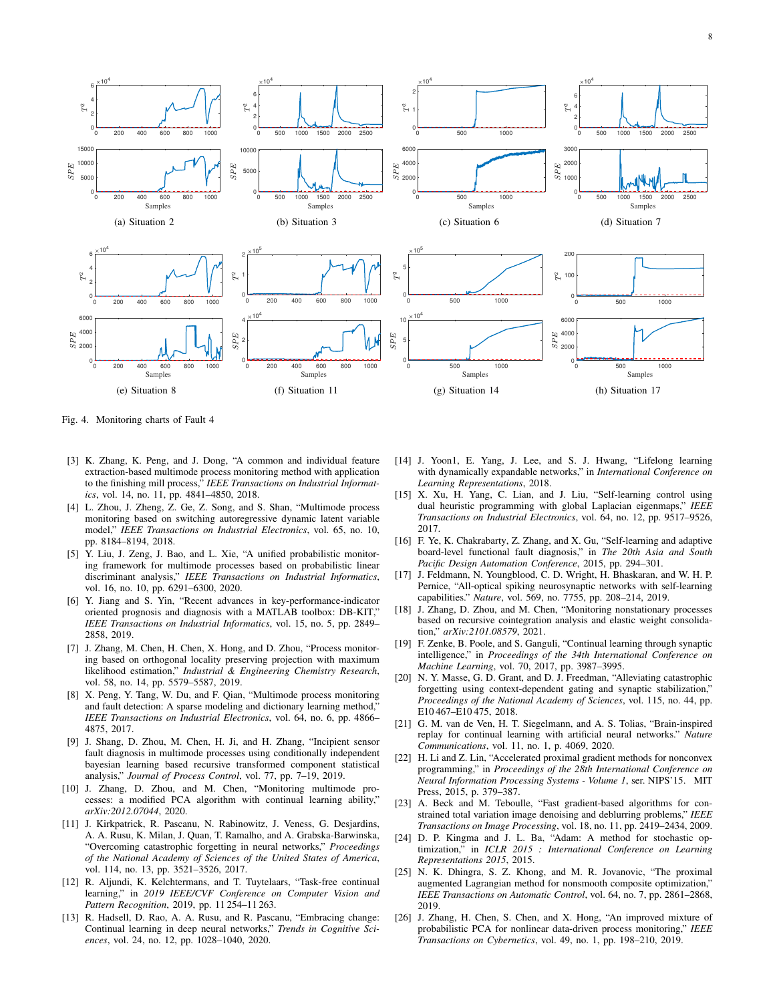

Fig. 4. Monitoring charts of Fault 4

- [3] K. Zhang, K. Peng, and J. Dong, "A common and individual feature extraction-based multimode process monitoring method with application to the finishing mill process," *IEEE Transactions on Industrial Informatics*, vol. 14, no. 11, pp. 4841–4850, 2018.
- [4] L. Zhou, J. Zheng, Z. Ge, Z. Song, and S. Shan, "Multimode process monitoring based on switching autoregressive dynamic latent variable model," *IEEE Transactions on Industrial Electronics*, vol. 65, no. 10, pp. 8184–8194, 2018.
- [5] Y. Liu, J. Zeng, J. Bao, and L. Xie, "A unified probabilistic monitoring framework for multimode processes based on probabilistic linear discriminant analysis," *IEEE Transactions on Industrial Informatics*, vol. 16, no. 10, pp. 6291–6300, 2020.
- [6] Y. Jiang and S. Yin, "Recent advances in key-performance-indicator oriented prognosis and diagnosis with a MATLAB toolbox: DB-KIT," *IEEE Transactions on Industrial Informatics*, vol. 15, no. 5, pp. 2849– 2858, 2019.
- [7] J. Zhang, M. Chen, H. Chen, X. Hong, and D. Zhou, "Process monitoring based on orthogonal locality preserving projection with maximum likelihood estimation," *Industrial & Engineering Chemistry Research*, vol. 58, no. 14, pp. 5579–5587, 2019.
- [8] X. Peng, Y. Tang, W. Du, and F. Qian, "Multimode process monitoring and fault detection: A sparse modeling and dictionary learning method," *IEEE Transactions on Industrial Electronics*, vol. 64, no. 6, pp. 4866– 4875, 2017.
- [9] J. Shang, D. Zhou, M. Chen, H. Ji, and H. Zhang, "Incipient sensor fault diagnosis in multimode processes using conditionally independent bayesian learning based recursive transformed component statistical analysis," *Journal of Process Control*, vol. 77, pp. 7–19, 2019.
- [10] J. Zhang, D. Zhou, and M. Chen, "Monitoring multimode processes: a modified PCA algorithm with continual learning ability," *arXiv:2012.07044*, 2020.
- [11] J. Kirkpatrick, R. Pascanu, N. Rabinowitz, J. Veness, G. Desjardins, A. A. Rusu, K. Milan, J. Quan, T. Ramalho, and A. Grabska-Barwinska, "Overcoming catastrophic forgetting in neural networks," *Proceedings of the National Academy of Sciences of the United States of America*, vol. 114, no. 13, pp. 3521–3526, 2017.
- [12] R. Aljundi, K. Kelchtermans, and T. Tuytelaars, "Task-free continual learning," in *2019 IEEE/CVF Conference on Computer Vision and Pattern Recognition*, 2019, pp. 11 254–11 263.
- [13] R. Hadsell, D. Rao, A. A. Rusu, and R. Pascanu, "Embracing change: Continual learning in deep neural networks," *Trends in Cognitive Sciences*, vol. 24, no. 12, pp. 1028–1040, 2020.
- [14] J. Yoon1, E. Yang, J. Lee, and S. J. Hwang, "Lifelong learning with dynamically expandable networks," in *International Conference on Learning Representations*, 2018.
- [15] X. Xu, H. Yang, C. Lian, and J. Liu, "Self-learning control using dual heuristic programming with global Laplacian eigenmaps," *IEEE Transactions on Industrial Electronics*, vol. 64, no. 12, pp. 9517–9526, 2017.
- [16] F. Ye, K. Chakrabarty, Z. Zhang, and X. Gu, "Self-learning and adaptive board-level functional fault diagnosis," in *The 20th Asia and South Pacific Design Automation Conference*, 2015, pp. 294–301.
- [17] J. Feldmann, N. Youngblood, C. D. Wright, H. Bhaskaran, and W. H. P. Pernice, "All-optical spiking neurosynaptic networks with self-learning capabilities." *Nature*, vol. 569, no. 7755, pp. 208–214, 2019.
- [18] J. Zhang, D. Zhou, and M. Chen, "Monitoring nonstationary processes based on recursive cointegration analysis and elastic weight consolidation," *arXiv:2101.08579*, 2021.
- [19] F. Zenke, B. Poole, and S. Ganguli, "Continual learning through synaptic intelligence," in *Proceedings of the 34th International Conference on Machine Learning*, vol. 70, 2017, pp. 3987–3995.
- [20] N. Y. Masse, G. D. Grant, and D. J. Freedman, "Alleviating catastrophic forgetting using context-dependent gating and synaptic stabilization," *Proceedings of the National Academy of Sciences*, vol. 115, no. 44, pp. E10 467–E10 475, 2018.
- [21] G. M. van de Ven, H. T. Siegelmann, and A. S. Tolias, "Brain-inspired replay for continual learning with artificial neural networks." *Nature Communications*, vol. 11, no. 1, p. 4069, 2020.
- [22] H. Li and Z. Lin, "Accelerated proximal gradient methods for nonconvex programming," in *Proceedings of the 28th International Conference on Neural Information Processing Systems - Volume 1*, ser. NIPS'15. MIT Press, 2015, p. 379–387.
- [23] A. Beck and M. Teboulle, "Fast gradient-based algorithms for constrained total variation image denoising and deblurring problems," *IEEE Transactions on Image Processing*, vol. 18, no. 11, pp. 2419–2434, 2009.
- [24] D. P. Kingma and J. L. Ba, "Adam: A method for stochastic optimization," in *ICLR 2015 : International Conference on Learning Representations 2015*, 2015.
- [25] N. K. Dhingra, S. Z. Khong, and M. R. Jovanovic, "The proximal augmented Lagrangian method for nonsmooth composite optimization," *IEEE Transactions on Automatic Control*, vol. 64, no. 7, pp. 2861–2868, 2019.
- [26] J. Zhang, H. Chen, S. Chen, and X. Hong, "An improved mixture of probabilistic PCA for nonlinear data-driven process monitoring," *IEEE Transactions on Cybernetics*, vol. 49, no. 1, pp. 198–210, 2019.